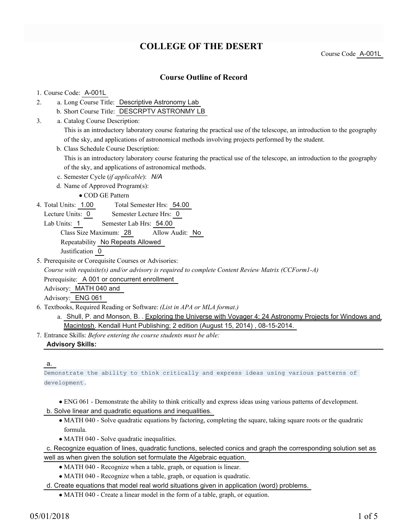# **COLLEGE OF THE DESERT**

Course Code A-001L

## **Course Outline of Record**

## 1. Course Code: A-001L

- a. Long Course Title: Descriptive Astronomy Lab 2.
	- b. Short Course Title: DESCRPTV ASTRONMY LB
- Catalog Course Description: a. 3.

This is an introductory laboratory course featuring the practical use of the telescope, an introduction to the geography of the sky, and applications of astronomical methods involving projects performed by the student.

b. Class Schedule Course Description:

This is an introductory laboratory course featuring the practical use of the telescope, an introduction to the geography of the sky, and applications of astronomical methods.

- c. Semester Cycle (*if applicable*): *N/A*
- d. Name of Approved Program(s):

COD GE Pattern

- Total Semester Hrs: 54.00 4. Total Units: 1.00
	- Lecture Units: 0 Semester Lecture Hrs: 0
	- Lab Units: 1 Semester Lab Hrs: 54.00

Class Size Maximum: 28 Allow Audit: No

Repeatability No Repeats Allowed

Justification 0

5. Prerequisite or Corequisite Courses or Advisories:

*Course with requisite(s) and/or advisory is required to complete Content Review Matrix (CCForm1-A)*

Prerequisite: A 001 or concurrent enrollment

Advisory: MATH 040 and

Advisory: ENG 061

- Textbooks, Required Reading or Software: *(List in APA or MLA format.)* 6.
	- a. Shull, P. and Monson, B. . Exploring the Universe with Voyager 4: 24 Astronomy Projects for Windows and Macintosh. Kendall Hunt Publishing; 2 edition (August 15, 2014) , 08-15-2014.
- Entrance Skills: *Before entering the course students must be able:* 7.

## **Advisory Skills:**

#### a.

Demonstrate the ability to think critically and express ideas using various patterns of development .

- ENG 061 Demonstrate the ability to think critically and express ideas using various patterns of development.
- b. Solve linear and quadratic equations and inequalities.
	- MATH 040 Solve quadratic equations by factoring, completing the square, taking square roots or the quadratic formula.
	- MATH 040 Solve quadratic inequalities.

c. Recognize equation of lines, quadratic functions, selected conics and graph the corresponding solution set as well as when given the solution set formulate the Algebraic equation.

- MATH 040 Recognize when a table, graph, or equation is linear.
- MATH 040 Recognize when a table, graph, or equation is quadratic.

d. Create equations that model real world situations given in application (word) problems.

MATH 040 - Create a linear model in the form of a table, graph, or equation.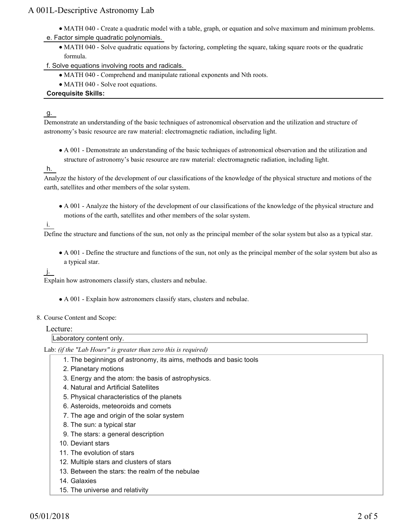## A 001L-Descriptive Astronomy Lab

- MATH 040 Create a quadratic model with a table, graph, or equation and solve maximum and minimum problems.
- e. Factor simple quadratic polynomials.
	- MATH 040 Solve quadratic equations by factoring, completing the square, taking square roots or the quadratic formula.
- f. Solve equations involving roots and radicals.
	- MATH 040 Comprehend and manipulate rational exponents and Nth roots.
	- MATH 040 Solve root equations.

## **Corequisite Skills:**

## g.

Demonstrate an understanding of the basic techniques of astronomical observation and the utilization and structure of astronomy's basic resource are raw material: electromagnetic radiation, including light.

A 001 - Demonstrate an understanding of the basic techniques of astronomical observation and the utilization and structure of astronomy's basic resource are raw material: electromagnetic radiation, including light.

## h.

Analyze the history of the development of our classifications of the knowledge of the physical structure and motions of the earth, satellites and other members of the solar system.

A 001 - Analyze the history of the development of our classifications of the knowledge of the physical structure and motions of the earth, satellites and other members of the solar system.

## i.

Define the structure and functions of the sun, not only as the principal member of the solar system but also as a typical star.

A 001 - Define the structure and functions of the sun, not only as the principal member of the solar system but also as a typical star.

## j.

Explain how astronomers classify stars, clusters and nebulae.

A 001 - Explain how astronomers classify stars, clusters and nebulae.

## 8. Course Content and Scope:

## Lecture:

Laboratory content only.

Lab: *(if the "Lab Hours" is greater than zero this is required)*

- 1. The beginnings of astronomy, its aims, methods and basic tools
- 2. Planetary motions
- 3. Energy and the atom: the basis of astrophysics.
- 4. Natural and Artificial Satellites
- 5. Physical characteristics of the planets
- 6. Asteroids, meteoroids and comets
- 7. The age and origin of the solar system
- 8. The sun: a typical star
- 9. The stars: a general description
- 10. Deviant stars
- 11. The evolution of stars
- 12. Multiple stars and clusters of stars
- 13. Between the stars: the realm of the nebulae
- 14. Galaxies
- 15. The universe and relativity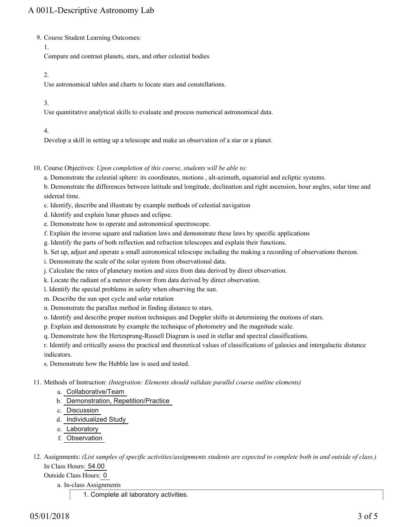9. Course Student Learning Outcomes:

1.

Compare and contrast planets, stars, and other celestial bodies

#### 2.

Use astronomical tables and charts to locate stars and constellations.

## 3.

Use quantitative analytical skills to evaluate and process numerical astronomical data.

## 4.

Develop a skill in setting up a telescope and make an observation of a star or a planet.

- 10. Course Objectives: Upon completion of this course, students will be able to:
	- a. Demonstrate the celestial sphere: its coordinates, motions , alt-azimuth, equatorial and ecliptic systems.
	- b. Demonstrate the differences between latitude and longitude, declination and right ascension, hour angles, solar time and sidereal time.
	- c. Identify, describe and illustrate by example methods of celestial navigation
	- d. Identify and explain lunar phases and eclipse.
	- e. Demonstrate how to operate and astronomical spectroscope.
	- f. Explain the inverse square and radiation laws and demonstrate these laws by specific applications
	- g. Identify the parts of both reflection and refraction telescopes and explain their functions.
	- h. Set up, adjust and operate a small astronomical telescope including the making a recording of observations thereon.
	- i. Demonstrate the scale of the solar system from observational data.
	- j. Calculate the rates of planetary motion and sizes from data derived by direct observation.
	- k. Locate the radiant of a meteor shower from data derived by direct observation.
	- l. Identify the special problems in safety when observing the sun.
	- m. Describe the sun spot cycle and solar rotation
	- n. Demonstrate the parallax method in finding distance to stars.
	- o. Identify and describe proper motion techniques and Doppler shifts in determining the motions of stars.
	- p. Explain and demonstrate by example the technique of photometry and the magnitude scale.
	- q. Demonstrate how the Hertzsprung-Russell Diagram is used in stellar and spectral classifications.

r. Identify and critically assess the practical and theoretical values of classifications of galaxies and intergalactic distance indicators.

s. Demonstrate how the Hubble law is used and tested.

Methods of Instruction: *(Integration: Elements should validate parallel course outline elements)* 11.

- a. Collaborative/Team
- b. Demonstration, Repetition/Practice
- c. Discussion
- d. Individualized Study
- e. Laboratory
- f. Observation
- 12. Assignments: (List samples of specific activities/assignments students are expected to complete both in and outside of class.) In Class Hours: 54.00

Outside Class Hours: 0

a. In-class Assignments

1. Complete all laboratory activities.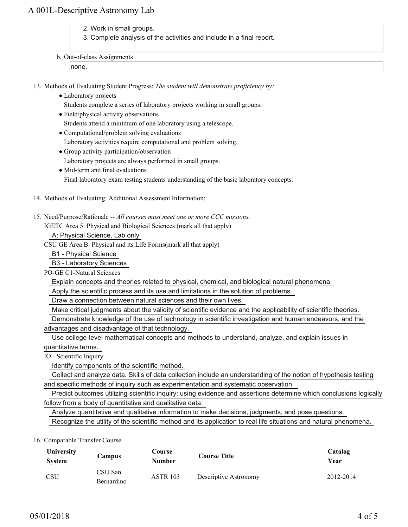## A 001L-Descriptive Astronomy Lab

- 2. Work in small groups.
- 3. Complete analysis of the activities and include in a final report.
- b. Out-of-class Assignments

none.

13. Methods of Evaluating Student Progress: The student will demonstrate proficiency by:

- Laboratory projects
	- Students complete a series of laboratory projects working in small groups.
- Field/physical activity observations

Students attend a minimum of one laboratory using a telescope.

- Computational/problem solving evaluations
- Laboratory activities require computational and problem solving.
- Group activity participation/observation

Laboratory projects are always performed in small groups.

• Mid-term and final evaluations

Final laboratory exam testing students understanding of the basic laboratory concepts.

- 14. Methods of Evaluating: Additional Assessment Information:
- 15. Need/Purpose/Rationale -- All courses must meet one or more CCC missions.

IGETC Area 5: Physical and Biological Sciences (mark all that apply)

A: Physical Science, Lab only

CSU GE Area B: Physical and its Life Forms(mark all that apply)

B1 - Physical Science

B3 - Laboratory Sciences

PO-GE C1-Natural Sciences

Explain concepts and theories related to physical, chemical, and biological natural phenomena.

Apply the scientific process and its use and limitations in the solution of problems.

Draw a connection between natural sciences and their own lives.

Make critical judgments about the validity of scientific evidence and the applicability of scientific theories.

Demonstrate knowledge of the use of technology in scientific investigation and human endeavors, and the

advantages and disadvantage of that technology.

 Use college-level mathematical concepts and methods to understand, analyze, and explain issues in quantitative terms.

IO - Scientific Inquiry

Identify components of the scientific method.

 Collect and analyze data. Skills of data collection include an understanding of the notion of hypothesis testing and specific methods of inquiry such as experimentation and systematic observation.

 Predict outcomes utilizing scientific inquiry: using evidence and assertions determine which conclusions logically follow from a body of quantitative and qualitative data.

 Analyze quantitative and qualitative information to make decisions, judgments, and pose questions. Recognize the utility of the scientific method and its application to real life situations and natural phenomena.

## 16. Comparable Transfer Course

| University<br><b>System</b> | Campus                | <b>Course</b><br>Number | <b>Course Title</b>   | Catalog<br>Year |
|-----------------------------|-----------------------|-------------------------|-----------------------|-----------------|
| <b>CSU</b>                  | CSU San<br>Bernardino | <b>ASTR 103</b>         | Descriptive Astronomy | 2012-2014       |